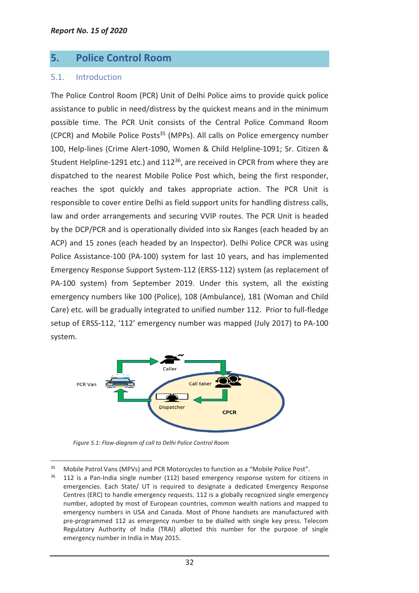# **5. Police Control Room**

## 5.1. Introduction

The Police Control Room (PCR) Unit of Delhi Police aims to provide quick police assistance to public in need/distress by the quickest means and in the minimum possible time. The PCR Unit consists of the Central Police Command Room (CPCR) and Mobile Police Posts<sup>35</sup> (MPPs). All calls on Police emergency number 100, Help-lines (Crime Alert-1090, Women & Child Helpline-1091; Sr. Citizen & Student Helpline-1291 etc.) and 112<sup>36</sup>, are received in CPCR from where they are dispatched to the nearest Mobile Police Post which, being the first responder, reaches the spot quickly and takes appropriate action. The PCR Unit is responsible to cover entire Delhi as field support units for handling distress calls, law and order arrangements and securing VVIP routes. The PCR Unit is headed by the DCP/PCR and is operationally divided into six Ranges (each headed by an ACP) and 15 zones (each headed by an Inspector). Delhi Police CPCR was using Police Assistance-100 (PA-100) system for last 10 years, and has implemented Emergency Response Support System-112 (ERSS-112) system (as replacement of PA-100 system) from September 2019. Under this system, all the existing emergency numbers like 100 (Police), 108 (Ambulance), 181 (Woman and Child Care) etc. will be gradually integrated to unified number 112. Prior to full-fledge setup of ERSS-112, '112' emergency number was mapped (July 2017) to PA-100 system.



*Figure 5.1: Flow-diagram of call to Delhi Police Control Room*

 $\overline{a}$ <sup>35</sup> Mobile Patrol Vans (MPVs) and PCR Motorcycles to function as a "Mobile Police Post".

 $36$  112 is a Pan-India single number (112) based emergency response system for citizens in emergencies. Each State/ UT is required to designate a dedicated Emergency Response Centres (ERC) to handle emergency requests. 112 is a globally recognized single emergency number, adopted by most of European countries, common wealth nations and mapped to emergency numbers in USA and Canada. Most of Phone handsets are manufactured with pre-programmed 112 as emergency number to be dialled with single key press. Telecom Regulatory Authority of India (TRAI) allotted this number for the purpose of single emergency number in India in May 2015.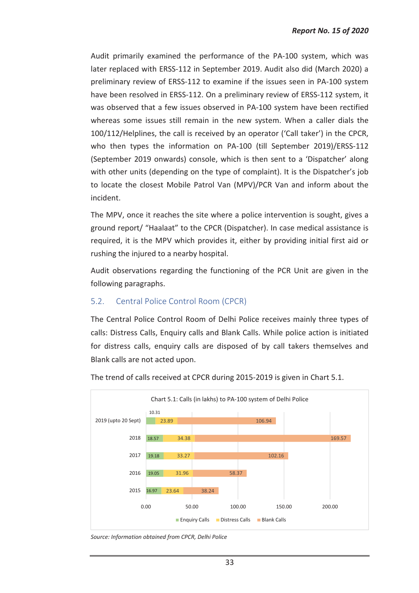Audit primarily examined the performance of the PA-100 system, which was later replaced with ERSS-112 in September 2019. Audit also did (March 2020) a preliminary review of ERSS-112 to examine if the issues seen in PA-100 system have been resolved in ERSS-112. On a preliminary review of ERSS-112 system, it was observed that a few issues observed in PA-100 system have been rectified whereas some issues still remain in the new system. When a caller dials the 100/112/Helplines, the call is received by an operator ('Call taker') in the CPCR, who then types the information on PA-100 (till September 2019)/ERSS-112 (September 2019 onwards) console, which is then sent to a 'Dispatcher' along with other units (depending on the type of complaint). It is the Dispatcher's job to locate the closest Mobile Patrol Van (MPV)/PCR Van and inform about the incident.

The MPV, once it reaches the site where a police intervention is sought, gives a ground report/ "Haalaat" to the CPCR (Dispatcher). In case medical assistance is required, it is the MPV which provides it, either by providing initial first aid or rushing the injured to a nearby hospital.

Audit observations regarding the functioning of the PCR Unit are given in the following paragraphs.

## 5.2. Central Police Control Room (CPCR)

The Central Police Control Room of Delhi Police receives mainly three types of calls: Distress Calls, Enquiry calls and Blank Calls. While police action is initiated for distress calls, enquiry calls are disposed of by call takers themselves and Blank calls are not acted upon.



The trend of calls received at CPCR during 2015-2019 is given in Chart 5.1.

*Source: Information obtained from CPCR, Delhi Police*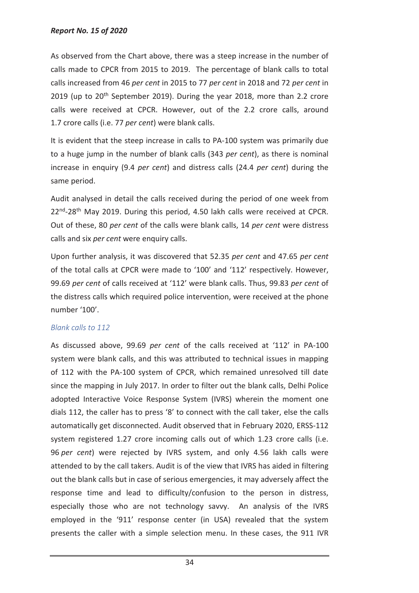As observed from the Chart above, there was a steep increase in the number of calls made to CPCR from 2015 to 2019. The percentage of blank calls to total calls increased from 46 *per cent* in 2015 to 77 *per cent* in 2018 and 72 *per cent* in 2019 (up to 20<sup>th</sup> September 2019). During the year 2018, more than 2.2 crore calls were received at CPCR. However, out of the 2.2 crore calls, around 1.7 crore calls (i.e. 77 *per cent*) were blank calls.

It is evident that the steep increase in calls to PA-100 system was primarily due to a huge jump in the number of blank calls (343 *per cent*), as there is nominal increase in enquiry (9.4 *per cent*) and distress calls (24.4 *per cent*) during the same period.

Audit analysed in detail the calls received during the period of one week from 22<sup>nd</sup>-28<sup>th</sup> May 2019. During this period, 4.50 lakh calls were received at CPCR. Out of these, 80 *per cent* of the calls were blank calls, 14 *per cent* were distress calls and six *per cent* were enquiry calls.

Upon further analysis, it was discovered that 52.35 *per cent* and 47.65 *per cent* of the total calls at CPCR were made to '100' and '112' respectively. However, 99.69 *per cent* of calls received at '112' were blank calls. Thus, 99.83 *per cent* of the distress calls which required police intervention, were received at the phone number '100'.

### *Blank calls to 112*

As discussed above, 99.69 *per cent* of the calls received at '112' in PA-100 system were blank calls, and this was attributed to technical issues in mapping of 112 with the PA-100 system of CPCR, which remained unresolved till date since the mapping in July 2017. In order to filter out the blank calls, Delhi Police adopted Interactive Voice Response System (IVRS) wherein the moment one dials 112, the caller has to press '8' to connect with the call taker, else the calls automatically get disconnected. Audit observed that in February 2020, ERSS-112 system registered 1.27 crore incoming calls out of which 1.23 crore calls (i.e. 96 *per cent*) were rejected by IVRS system, and only 4.56 lakh calls were attended to by the call takers. Audit is of the view that IVRS has aided in filtering out the blank calls but in case of serious emergencies, it may adversely affect the response time and lead to difficulty/confusion to the person in distress, especially those who are not technology savvy. An analysis of the IVRS employed in the '911' response center (in USA) revealed that the system presents the caller with a simple selection menu. In these cases, the 911 IVR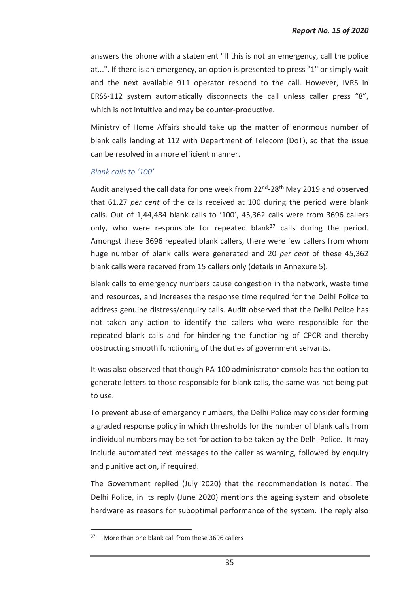answers the phone with a statement "If this is not an emergency, call the police at...". If there is an emergency, an option is presented to press "1" or simply wait and the next available 911 operator respond to the call. However, IVRS in ERSS-112 system automatically disconnects the call unless caller press "8", which is not intuitive and may be counter-productive.

Ministry of Home Affairs should take up the matter of enormous number of blank calls landing at 112 with Department of Telecom (DoT), so that the issue can be resolved in a more efficient manner.

### *Blank calls to '100'*

Audit analysed the call data for one week from 22<sup>nd</sup>-28<sup>th</sup> May 2019 and observed that 61.27 *per cent* of the calls received at 100 during the period were blank calls. Out of 1,44,484 blank calls to '100', 45,362 calls were from 3696 callers only, who were responsible for repeated blank<sup>37</sup> calls during the period. Amongst these 3696 repeated blank callers, there were few callers from whom huge number of blank calls were generated and 20 *per cent* of these 45,362 blank calls were received from 15 callers only (details in Annexure 5).

Blank calls to emergency numbers cause congestion in the network, waste time and resources, and increases the response time required for the Delhi Police to address genuine distress/enquiry calls. Audit observed that the Delhi Police has not taken any action to identify the callers who were responsible for the repeated blank calls and for hindering the functioning of CPCR and thereby obstructing smooth functioning of the duties of government servants.

It was also observed that though PA-100 administrator console has the option to generate letters to those responsible for blank calls, the same was not being put to use.

To prevent abuse of emergency numbers, the Delhi Police may consider forming a graded response policy in which thresholds for the number of blank calls from individual numbers may be set for action to be taken by the Delhi Police. It may include automated text messages to the caller as warning, followed by enquiry and punitive action, if required.

The Government replied (July 2020) that the recommendation is noted. The Delhi Police, in its reply (June 2020) mentions the ageing system and obsolete hardware as reasons for suboptimal performance of the system. The reply also

 $\overline{a}$ 

<sup>37</sup> More than one blank call from these 3696 callers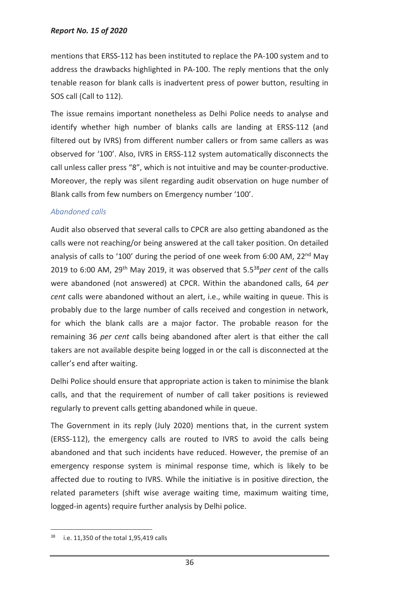#### *Report No. 15 of 2020*

mentions that ERSS-112 has been instituted to replace the PA-100 system and to address the drawbacks highlighted in PA-100. The reply mentions that the only tenable reason for blank calls is inadvertent press of power button, resulting in SOS call (Call to 112).

The issue remains important nonetheless as Delhi Police needs to analyse and identify whether high number of blanks calls are landing at ERSS-112 (and filtered out by IVRS) from different number callers or from same callers as was observed for '100'. Also, IVRS in ERSS-112 system automatically disconnects the call unless caller press "8", which is not intuitive and may be counter-productive. Moreover, the reply was silent regarding audit observation on huge number of Blank calls from few numbers on Emergency number '100'.

#### *Abandoned calls*

Audit also observed that several calls to CPCR are also getting abandoned as the calls were not reaching/or being answered at the call taker position. On detailed analysis of calls to '100' during the period of one week from 6:00 AM, 22<sup>nd</sup> May 2019 to 6:00 AM, 29th May 2019, it was observed that 5.5<sup>38</sup>*per cent* of the calls were abandoned (not answered) at CPCR. Within the abandoned calls, 64 *per cent* calls were abandoned without an alert, i.e., while waiting in queue. This is probably due to the large number of calls received and congestion in network, for which the blank calls are a major factor. The probable reason for the remaining 36 *per cent* calls being abandoned after alert is that either the call takers are not available despite being logged in or the call is disconnected at the caller's end after waiting.

Delhi Police should ensure that appropriate action is taken to minimise the blank calls, and that the requirement of number of call taker positions is reviewed regularly to prevent calls getting abandoned while in queue.

The Government in its reply (July 2020) mentions that, in the current system (ERSS-112), the emergency calls are routed to IVRS to avoid the calls being abandoned and that such incidents have reduced. However, the premise of an emergency response system is minimal response time, which is likely to be affected due to routing to IVRS. While the initiative is in positive direction, the related parameters (shift wise average waiting time, maximum waiting time, logged-in agents) require further analysis by Delhi police.

 $\overline{a}$ 

<sup>38</sup> i.e. 11,350 of the total 1,95,419 calls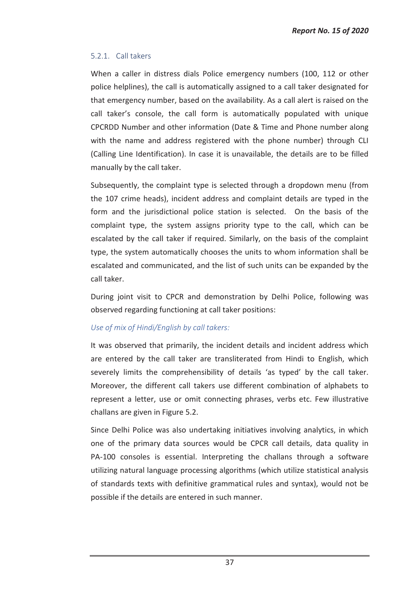### 5.2.1. Call takers

When a caller in distress dials Police emergency numbers (100, 112 or other police helplines), the call is automatically assigned to a call taker designated for that emergency number, based on the availability. As a call alert is raised on the call taker's console, the call form is automatically populated with unique CPCRDD Number and other information (Date & Time and Phone number along with the name and address registered with the phone number) through CLI (Calling Line Identification). In case it is unavailable, the details are to be filled manually by the call taker.

Subsequently, the complaint type is selected through a dropdown menu (from the 107 crime heads), incident address and complaint details are typed in the form and the jurisdictional police station is selected. On the basis of the complaint type, the system assigns priority type to the call, which can be escalated by the call taker if required. Similarly, on the basis of the complaint type, the system automatically chooses the units to whom information shall be escalated and communicated, and the list of such units can be expanded by the call taker.

During joint visit to CPCR and demonstration by Delhi Police, following was observed regarding functioning at call taker positions:

### *Use of mix of Hindi/English by call takers:*

It was observed that primarily, the incident details and incident address which are entered by the call taker are transliterated from Hindi to English, which severely limits the comprehensibility of details 'as typed' by the call taker. Moreover, the different call takers use different combination of alphabets to represent a letter, use or omit connecting phrases, verbs etc. Few illustrative challans are given in Figure 5.2.

Since Delhi Police was also undertaking initiatives involving analytics, in which one of the primary data sources would be CPCR call details, data quality in PA-100 consoles is essential. Interpreting the challans through a software utilizing natural language processing algorithms (which utilize statistical analysis of standards texts with definitive grammatical rules and syntax), would not be possible if the details are entered in such manner.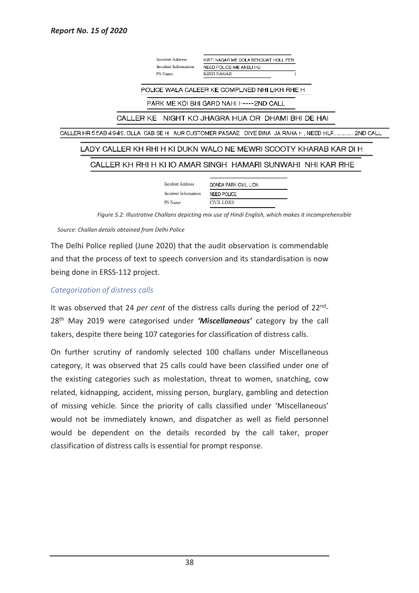**Incident Address** KIRTI NAGAR ME GOLA BENQUAT HOLL PER Incident Information NEED POLICE=ME AKELI HU PS Name **KIRTI NAGAR** POLICE WALA CALEER KE COMPLNED NHI LIKH RHE H PARK ME KOI BHI GARD NAHI H----2ND CALL CALLER KE NIGHT KO JHAGRA HUA OR DHAMI BHI DE HAI CALLER HR 55AB 4949. OLLA CAB SE H AUR CUSTOMER PASAAE DIYE BINA JA RAHA F, NEED HLF .............. 2ND CALL LADY CALLER KH RHI H KI DUKN WALO NE MEWRI SCOOTY KHARAB KAR DI H CALLER KH RHI H KI IO AMAR SINGH HAMARI SUNWAHI NHI KAR RHE **Incident Address GONDA PARK CIVIL LION** Incident Information **NEED POLICE** PS Name **CIVIL LINES** 

*Figure 5.2: Illustrative Challans depicting mix use of Hindi English, which makes it incomprehensible* 

*Source: Challan details obtained from Delhi Police*

The Delhi Police replied (June 2020) that the audit observation is commendable and that the process of text to speech conversion and its standardisation is now being done in ERSS-112 project.

#### *Categorization of distress calls*

It was observed that 24 *per cent* of the distress calls during the period of 22nd - 28th May 2019 were categorised under *'Miscellaneous'* category by the call takers, despite there being 107 categories for classification of distress calls.

On further scrutiny of randomly selected 100 challans under Miscellaneous category, it was observed that 25 calls could have been classified under one of the existing categories such as molestation, threat to women, snatching, cow related, kidnapping, accident, missing person, burglary, gambling and detection of missing vehicle. Since the priority of calls classified under 'Miscellaneous' would not be immediately known, and dispatcher as well as field personnel would be dependent on the details recorded by the call taker, proper classification of distress calls is essential for prompt response.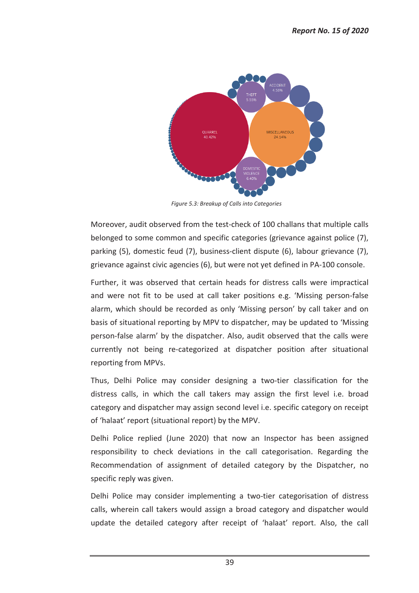

*Figure 5.3: Breakup of Calls into Categories* 

Moreover, audit observed from the test-check of 100 challans that multiple calls belonged to some common and specific categories (grievance against police (7), parking (5), domestic feud (7), business-client dispute (6), labour grievance (7), grievance against civic agencies (6), but were not yet defined in PA-100 console.

Further, it was observed that certain heads for distress calls were impractical and were not fit to be used at call taker positions e.g. 'Missing person-false alarm, which should be recorded as only 'Missing person' by call taker and on basis of situational reporting by MPV to dispatcher, may be updated to 'Missing person-false alarm' by the dispatcher. Also, audit observed that the calls were currently not being re-categorized at dispatcher position after situational reporting from MPVs.

Thus, Delhi Police may consider designing a two-tier classification for the distress calls, in which the call takers may assign the first level i.e. broad category and dispatcher may assign second level i.e. specific category on receipt of 'halaat' report (situational report) by the MPV.

Delhi Police replied (June 2020) that now an Inspector has been assigned responsibility to check deviations in the call categorisation. Regarding the Recommendation of assignment of detailed category by the Dispatcher, no specific reply was given.

Delhi Police may consider implementing a two-tier categorisation of distress calls, wherein call takers would assign a broad category and dispatcher would update the detailed category after receipt of 'halaat' report. Also, the call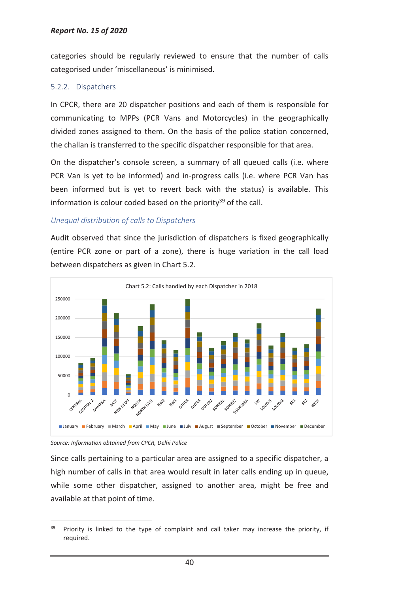categories should be regularly reviewed to ensure that the number of calls categorised under 'miscellaneous' is minimised.

### 5.2.2. Dispatchers

In CPCR, there are 20 dispatcher positions and each of them is responsible for communicating to MPPs (PCR Vans and Motorcycles) in the geographically divided zones assigned to them. On the basis of the police station concerned, the challan is transferred to the specific dispatcher responsible for that area.

On the dispatcher's console screen, a summary of all queued calls (i.e. where PCR Van is yet to be informed) and in-progress calls (i.e. where PCR Van has been informed but is yet to revert back with the status) is available. This information is colour coded based on the priority<sup>39</sup> of the call.

### *Unequal distribution of calls to Dispatchers*

Audit observed that since the jurisdiction of dispatchers is fixed geographically (entire PCR zone or part of a zone), there is huge variation in the call load between dispatchers as given in Chart 5.2.





 $\overline{a}$ 

Since calls pertaining to a particular area are assigned to a specific dispatcher, a high number of calls in that area would result in later calls ending up in queue, while some other dispatcher, assigned to another area, might be free and available at that point of time.

 $39$  Priority is linked to the type of complaint and call taker may increase the priority, if required.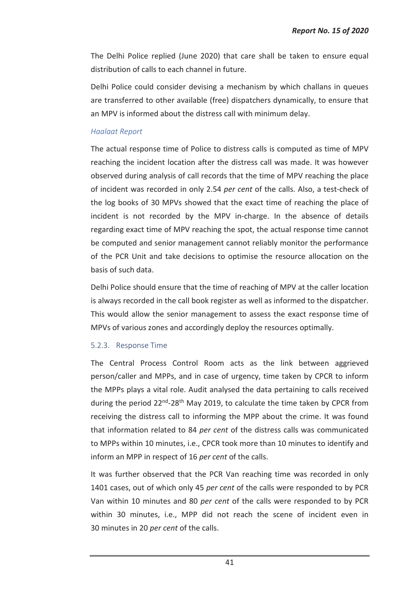The Delhi Police replied (June 2020) that care shall be taken to ensure equal distribution of calls to each channel in future.

Delhi Police could consider devising a mechanism by which challans in queues are transferred to other available (free) dispatchers dynamically, to ensure that an MPV is informed about the distress call with minimum delay.

### *Haalaat Report*

The actual response time of Police to distress calls is computed as time of MPV reaching the incident location after the distress call was made. It was however observed during analysis of call records that the time of MPV reaching the place of incident was recorded in only 2.54 *per cent* of the calls. Also, a test-check of the log books of 30 MPVs showed that the exact time of reaching the place of incident is not recorded by the MPV in-charge. In the absence of details regarding exact time of MPV reaching the spot, the actual response time cannot be computed and senior management cannot reliably monitor the performance of the PCR Unit and take decisions to optimise the resource allocation on the basis of such data.

Delhi Police should ensure that the time of reaching of MPV at the caller location is always recorded in the call book register as well as informed to the dispatcher. This would allow the senior management to assess the exact response time of MPVs of various zones and accordingly deploy the resources optimally.

### 5.2.3. Response Time

The Central Process Control Room acts as the link between aggrieved person/caller and MPPs, and in case of urgency, time taken by CPCR to inform the MPPs plays a vital role. Audit analysed the data pertaining to calls received during the period 22<sup>nd</sup>-28<sup>th</sup> May 2019, to calculate the time taken by CPCR from receiving the distress call to informing the MPP about the crime. It was found that information related to 84 *per cent* of the distress calls was communicated to MPPs within 10 minutes, i.e., CPCR took more than 10 minutes to identify and inform an MPP in respect of 16 *per cent* of the calls.

It was further observed that the PCR Van reaching time was recorded in only 1401 cases, out of which only 45 *per cent* of the calls were responded to by PCR Van within 10 minutes and 80 *per cent* of the calls were responded to by PCR within 30 minutes, i.e., MPP did not reach the scene of incident even in 30 minutes in 20 *per cent* of the calls.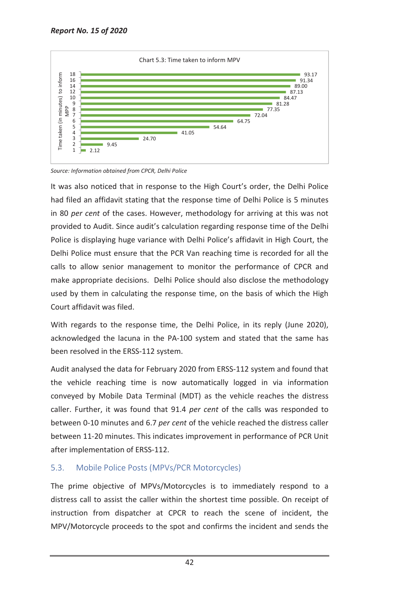

*Source: Information obtained from CPCR, Delhi Police* 

It was also noticed that in response to the High Court's order, the Delhi Police had filed an affidavit stating that the response time of Delhi Police is 5 minutes in 80 *per cent* of the cases. However, methodology for arriving at this was not provided to Audit. Since audit's calculation regarding response time of the Delhi Police is displaying huge variance with Delhi Police's affidavit in High Court, the Delhi Police must ensure that the PCR Van reaching time is recorded for all the calls to allow senior management to monitor the performance of CPCR and make appropriate decisions. Delhi Police should also disclose the methodology used by them in calculating the response time, on the basis of which the High Court affidavit was filed.

With regards to the response time, the Delhi Police, in its reply (June 2020), acknowledged the lacuna in the PA-100 system and stated that the same has been resolved in the ERSS-112 system.

Audit analysed the data for February 2020 from ERSS-112 system and found that the vehicle reaching time is now automatically logged in via information conveyed by Mobile Data Terminal (MDT) as the vehicle reaches the distress caller. Further, it was found that 91.4 *per cent* of the calls was responded to between 0-10 minutes and 6.7 *per cent* of the vehicle reached the distress caller between 11-20 minutes. This indicates improvement in performance of PCR Unit after implementation of ERSS-112.

## 5.3. Mobile Police Posts (MPVs/PCR Motorcycles)

The prime objective of MPVs/Motorcycles is to immediately respond to a distress call to assist the caller within the shortest time possible. On receipt of instruction from dispatcher at CPCR to reach the scene of incident, the MPV/Motorcycle proceeds to the spot and confirms the incident and sends the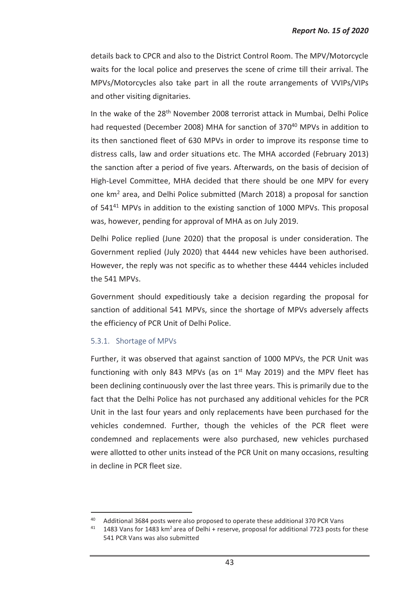details back to CPCR and also to the District Control Room. The MPV/Motorcycle waits for the local police and preserves the scene of crime till their arrival. The MPVs/Motorcycles also take part in all the route arrangements of VVIPs/VIPs and other visiting dignitaries.

In the wake of the 28<sup>th</sup> November 2008 terrorist attack in Mumbai, Delhi Police had requested (December 2008) MHA for sanction of 370<sup>40</sup> MPVs in addition to its then sanctioned fleet of 630 MPVs in order to improve its response time to distress calls, law and order situations etc. The MHA accorded (February 2013) the sanction after a period of five years. Afterwards, on the basis of decision of High-Level Committee, MHA decided that there should be one MPV for every one km<sup>2</sup> area, and Delhi Police submitted (March 2018) a proposal for sanction of  $541^{41}$  MPVs in addition to the existing sanction of 1000 MPVs. This proposal was, however, pending for approval of MHA as on July 2019.

Delhi Police replied (June 2020) that the proposal is under consideration. The Government replied (July 2020) that 4444 new vehicles have been authorised. However, the reply was not specific as to whether these 4444 vehicles included the 541 MPVs.

Government should expeditiously take a decision regarding the proposal for sanction of additional 541 MPVs, since the shortage of MPVs adversely affects the efficiency of PCR Unit of Delhi Police.

### 5.3.1. Shortage of MPVs

 $\overline{a}$ 

Further, it was observed that against sanction of 1000 MPVs, the PCR Unit was functioning with only 843 MPVs (as on  $1<sup>st</sup>$  May 2019) and the MPV fleet has been declining continuously over the last three years. This is primarily due to the fact that the Delhi Police has not purchased any additional vehicles for the PCR Unit in the last four years and only replacements have been purchased for the vehicles condemned. Further, though the vehicles of the PCR fleet were condemned and replacements were also purchased, new vehicles purchased were allotted to other units instead of the PCR Unit on many occasions, resulting in decline in PCR fleet size.

<sup>&</sup>lt;sup>40</sup> Additional 3684 posts were also proposed to operate these additional 370 PCR Vans

 $41$  1483 Vans for 1483 km<sup>2</sup> area of Delhi + reserve, proposal for additional 7723 posts for these 541 PCR Vans was also submitted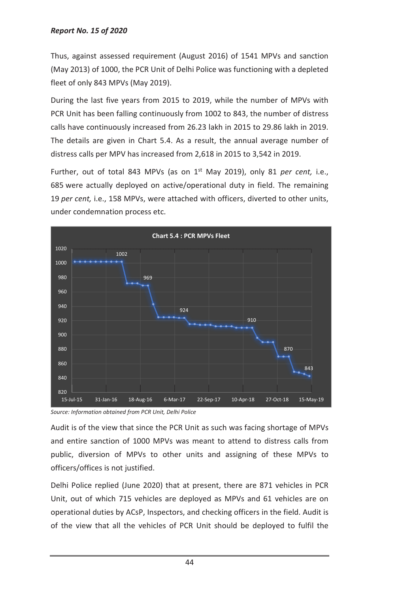Thus, against assessed requirement (August 2016) of 1541 MPVs and sanction (May 2013) of 1000, the PCR Unit of Delhi Police was functioning with a depleted fleet of only 843 MPVs (May 2019).

During the last five years from 2015 to 2019, while the number of MPVs with PCR Unit has been falling continuously from 1002 to 843, the number of distress calls have continuously increased from 26.23 lakh in 2015 to 29.86 lakh in 2019. The details are given in Chart 5.4. As a result, the annual average number of distress calls per MPV has increased from 2,618 in 2015 to 3,542 in 2019.

Further, out of total 843 MPVs (as on 1<sup>st</sup> May 2019), only 81 *per cent*, i.e., 685 were actually deployed on active/operational duty in field. The remaining 19 *per cent,* i.e., 158 MPVs, were attached with officers, diverted to other units, under condemnation process etc.



*Source: Information obtained from PCR Unit, Delhi Police* 

Audit is of the view that since the PCR Unit as such was facing shortage of MPVs and entire sanction of 1000 MPVs was meant to attend to distress calls from public, diversion of MPVs to other units and assigning of these MPVs to officers/offices is not justified.

Delhi Police replied (June 2020) that at present, there are 871 vehicles in PCR Unit, out of which 715 vehicles are deployed as MPVs and 61 vehicles are on operational duties by ACsP, Inspectors, and checking officers in the field. Audit is of the view that all the vehicles of PCR Unit should be deployed to fulfil the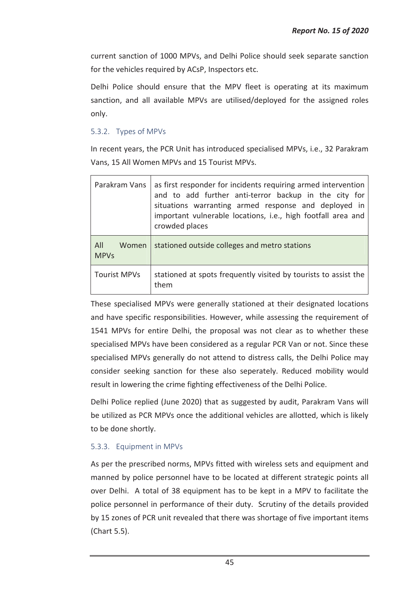current sanction of 1000 MPVs, and Delhi Police should seek separate sanction for the vehicles required by ACsP, Inspectors etc.

Delhi Police should ensure that the MPV fleet is operating at its maximum sanction, and all available MPVs are utilised/deployed for the assigned roles only.

## 5.3.2. Types of MPVs

In recent years, the PCR Unit has introduced specialised MPVs, i.e., 32 Parakram Vans, 15 All Women MPVs and 15 Tourist MPVs.

| Parakram Vans               | as first responder for incidents requiring armed intervention<br>and to add further anti-terror backup in the city for<br>situations warranting armed response and deployed in<br>important vulnerable locations, i.e., high footfall area and<br>crowded places |
|-----------------------------|------------------------------------------------------------------------------------------------------------------------------------------------------------------------------------------------------------------------------------------------------------------|
| All<br>Women<br><b>MPVs</b> | stationed outside colleges and metro stations                                                                                                                                                                                                                    |
| <b>Tourist MPVs</b>         | stationed at spots frequently visited by tourists to assist the<br>them                                                                                                                                                                                          |

These specialised MPVs were generally stationed at their designated locations and have specific responsibilities. However, while assessing the requirement of 1541 MPVs for entire Delhi, the proposal was not clear as to whether these specialised MPVs have been considered as a regular PCR Van or not. Since these specialised MPVs generally do not attend to distress calls, the Delhi Police may consider seeking sanction for these also seperately. Reduced mobility would result in lowering the crime fighting effectiveness of the Delhi Police.

Delhi Police replied (June 2020) that as suggested by audit, Parakram Vans will be utilized as PCR MPVs once the additional vehicles are allotted, which is likely to be done shortly.

### 5.3.3. Equipment in MPVs

As per the prescribed norms, MPVs fitted with wireless sets and equipment and manned by police personnel have to be located at different strategic points all over Delhi. A total of 38 equipment has to be kept in a MPV to facilitate the police personnel in performance of their duty. Scrutiny of the details provided by 15 zones of PCR unit revealed that there was shortage of five important items (Chart 5.5).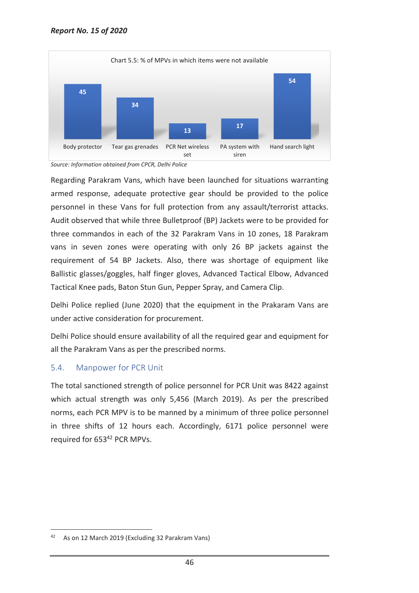

*Source: Information obtained from CPCR, Delhi Police* 

Regarding Parakram Vans, which have been launched for situations warranting armed response, adequate protective gear should be provided to the police personnel in these Vans for full protection from any assault/terrorist attacks. Audit observed that while three Bulletproof (BP) Jackets were to be provided for three commandos in each of the 32 Parakram Vans in 10 zones, 18 Parakram vans in seven zones were operating with only 26 BP jackets against the requirement of 54 BP Jackets. Also, there was shortage of equipment like Ballistic glasses/goggles, half finger gloves, Advanced Tactical Elbow, Advanced Tactical Knee pads, Baton Stun Gun, Pepper Spray, and Camera Clip.

Delhi Police replied (June 2020) that the equipment in the Prakaram Vans are under active consideration for procurement.

Delhi Police should ensure availability of all the required gear and equipment for all the Parakram Vans as per the prescribed norms.

### 5.4. Manpower for PCR Unit

The total sanctioned strength of police personnel for PCR Unit was 8422 against which actual strength was only 5,456 (March 2019). As per the prescribed norms, each PCR MPV is to be manned by a minimum of three police personnel in three shifts of 12 hours each. Accordingly, 6171 police personnel were required for 653<sup>42</sup> PCR MPVs.

 $\overline{a}$ 

<sup>42</sup> As on 12 March 2019 (Excluding 32 Parakram Vans)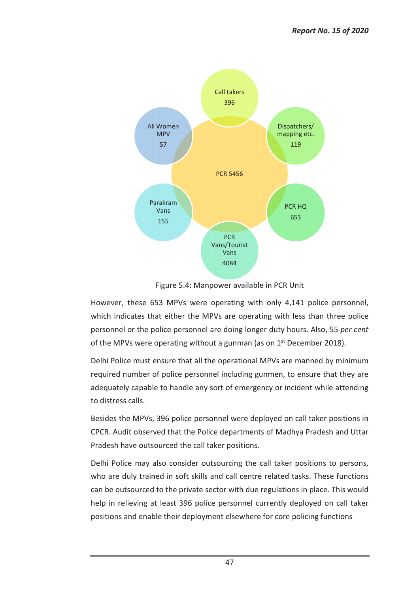

Figure 5.4: Manpower available in PCR Unit

However, these 653 MPVs were operating with only 4,141 police personnel, which indicates that either the MPVs are operating with less than three police personnel or the police personnel are doing longer duty hours. Also, 55 *per cent* of the MPVs were operating without a gunman (as on  $1<sup>st</sup>$  December 2018).

Delhi Police must ensure that all the operational MPVs are manned by minimum required number of police personnel including gunmen, to ensure that they are adequately capable to handle any sort of emergency or incident while attending to distress calls.

Besides the MPVs, 396 police personnel were deployed on call taker positions in CPCR. Audit observed that the Police departments of Madhya Pradesh and Uttar Pradesh have outsourced the call taker positions.

Delhi Police may also consider outsourcing the call taker positions to persons, who are duly trained in soft skills and call centre related tasks. These functions can be outsourced to the private sector with due regulations in place. This would help in relieving at least 396 police personnel currently deployed on call taker positions and enable their deployment elsewhere for core policing functions